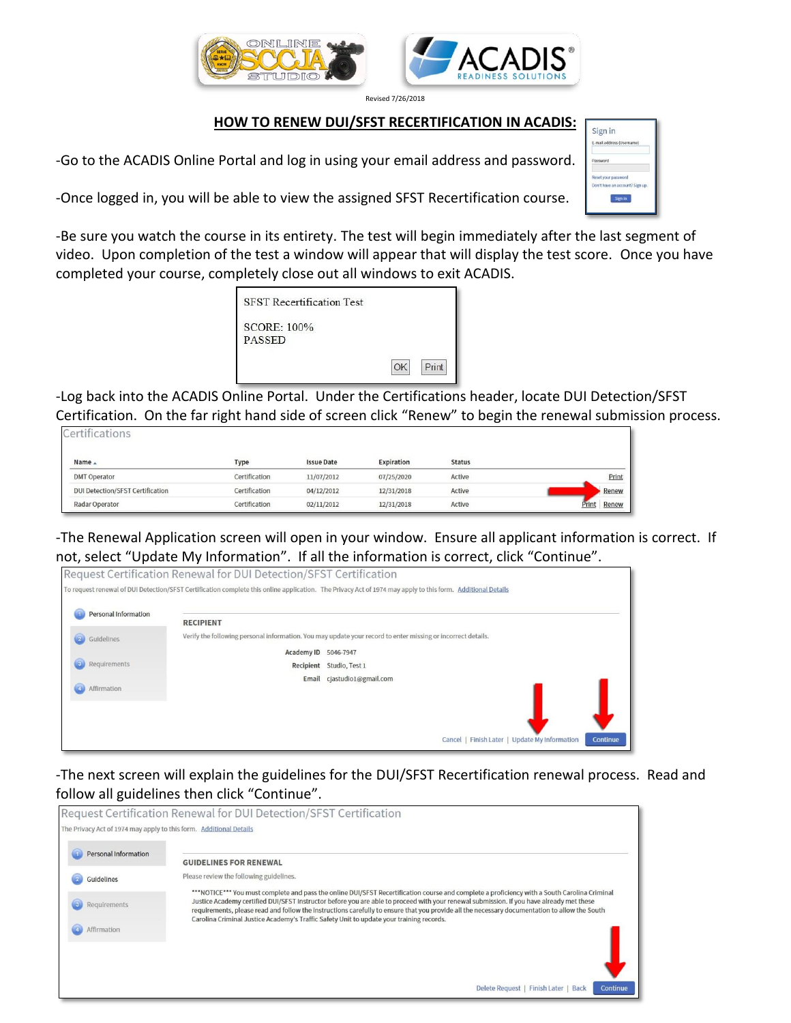



Revised 7/26/2018

## **HOW TO RENEW DUI/SFST RECERTIFICATION IN ACADIS:**

-Go to the ACADIS Online Portal and log in using your email address and password.

-Once logged in, you will be able to view the assigned SFST Recertification course.

-Be sure you watch the course in its entirety. The test will begin immediately after the last segment of video. Upon completion of the test a window will appear that will display the test score. Once you have completed your course, completely close out all windows to exit ACADIS.

| <b>SFST</b> Recertification Test    |       |
|-------------------------------------|-------|
| <b>SCORE: 100%</b><br><b>PASSED</b> |       |
|                                     | Print |

-Log back into the ACADIS Online Portal. Under the Certifications header, locate DUI Detection/SFST Certification. On the far right hand side of screen click "Renew" to begin the renewal submission process.

| ICEI UITCAUVITS                         |               |                   |            |               |                |
|-----------------------------------------|---------------|-------------------|------------|---------------|----------------|
| Name $\triangle$                        | Type          | <b>Issue Date</b> | Expiration | <b>Status</b> |                |
| <b>DMT Operator</b>                     | Certification | 11/07/2012        | 07/25/2020 | Active        | Print          |
| <b>DUI Detection/SFST Certification</b> | Certification | 04/12/2012        | 12/31/2018 | Active        | Renew          |
| Radar Operator                          | Certification | 02/11/2012        | 12/31/2018 | Active        | Renew<br>Print |

-The Renewal Application screen will open in your window. Ensure all applicant information is correct. If not, select "Update My Information". If all the information is correct, click "Continue".

| Personal Information |                  |                                                                                                              |
|----------------------|------------------|--------------------------------------------------------------------------------------------------------------|
| Guidelines           | <b>RECIPIENT</b> | Verify the following personal information. You may update your record to enter missing or incorrect details. |
|                      |                  | Academy ID 5046-7947                                                                                         |
| Requirements         |                  | Recipient Studio, Test 1                                                                                     |
| Affirmation          |                  | Email cjastudio1@gmail.com                                                                                   |
|                      |                  |                                                                                                              |

-The next screen will explain the guidelines for the DUI/SFST Recertification renewal process. Read and follow all guidelines then click "Continue".



| Sign in                         |         |  |
|---------------------------------|---------|--|
| E-mail address (Username)       |         |  |
| Password                        |         |  |
| Reset your password             |         |  |
| Don't have an account? Sign up. |         |  |
|                                 | Sign in |  |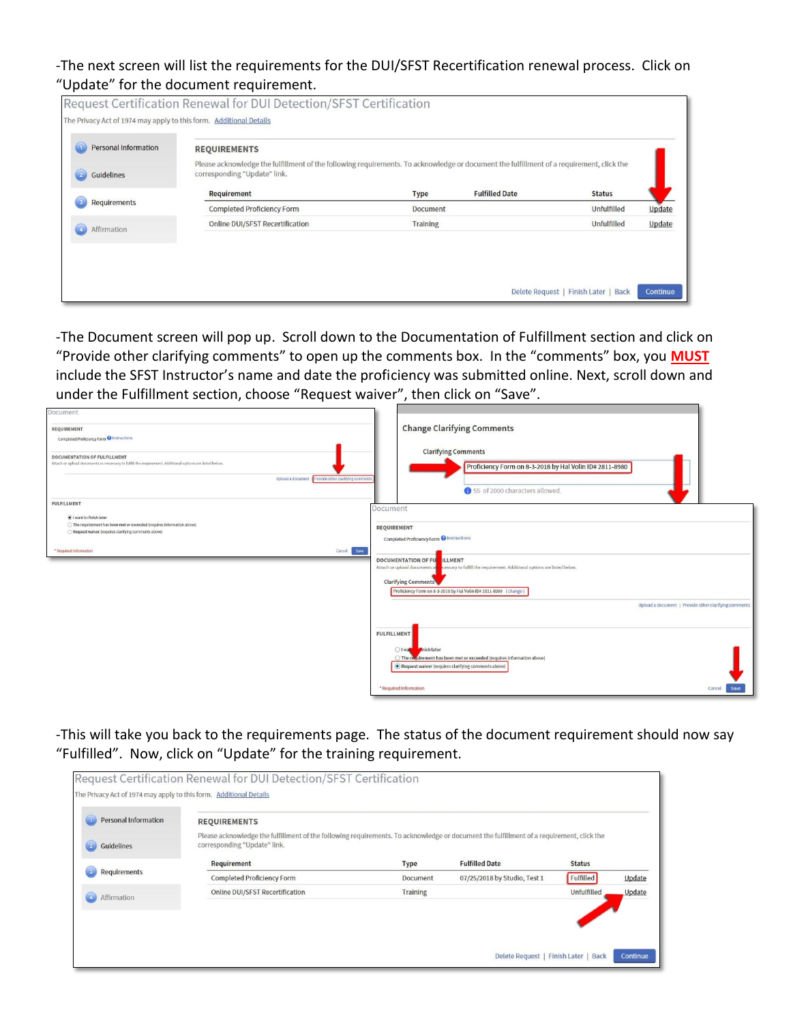-The next screen will list the requirements for the DUI/SFST Recertification renewal process. Click on "Update" for the document requirement.

| <b>Personal Information</b> | <b>REQUIREMENTS</b>                                                                                                                                                      |                 |                       |               |        |
|-----------------------------|--------------------------------------------------------------------------------------------------------------------------------------------------------------------------|-----------------|-----------------------|---------------|--------|
| Guidelines                  | Please acknowledge the fulfillment of the following requirements. To acknowledge or document the fulfillment of a requirement, click the<br>corresponding "Update" link. |                 |                       |               |        |
|                             | Requirement                                                                                                                                                              | Type            | <b>Fulfilled Date</b> | <b>Status</b> |        |
| Requirements                | Completed Proficiency Form                                                                                                                                               | Document        |                       | Unfulfilled   | Update |
| Affirmation                 | Online DUI/SFST Recertification                                                                                                                                          | <b>Training</b> |                       | Unfulfilled   | Update |
|                             |                                                                                                                                                                          |                 |                       |               |        |
|                             |                                                                                                                                                                          |                 |                       |               |        |

-The Document screen will pop up. Scroll down to the Documentation of Fulfillment section and click on "Provide other clarifying comments" to open up the comments box. In the "comments" box, you **MUST** include the SFST Instructor's name and date the proficiency was submitted online. Next, scroll down and under the Fulfillment section, choose "Request waiver", then click on "Save".

| Document<br>REQUIREMENT<br>Completed Proficiency Form @ Instructions<br>DOCUMENTATION OF FULFILLMENT<br>Attach or upload documents as necessary to fulfill the requirement. Additional options are listed below.<br>Upload a document   Provide other clarifying comments | <b>Change Clarifying Comments</b><br><b>Clarifying Comments</b><br>Proficiency Form on 8-3-2018 by Hal Volin ID# 2811-8980<br>155 of 2000 characters allowed.                                                                                                                                                                                                                                         |
|---------------------------------------------------------------------------------------------------------------------------------------------------------------------------------------------------------------------------------------------------------------------------|-------------------------------------------------------------------------------------------------------------------------------------------------------------------------------------------------------------------------------------------------------------------------------------------------------------------------------------------------------------------------------------------------------|
| <b>FULFILLMENT</b><br>I want to finish later<br>○ The requirement has been met or exceeded (requires information above)<br>Request waiver (requires clarifying comments above)<br>Save<br>* Required Information<br>Cancel                                                | Document<br><b>REQUIREMENT</b><br>Completed Proficiency Form @ Instructions<br><b>ILLMENT</b><br><b>DOCUMENTATION OF FULL</b><br>Attach or upload documents as<br>cessary to fulfill the requirement. Additional options are listed below.<br><b>Clarifying Comments</b><br>Proficiency Form on 8-3-2018 by Hal Volin ID# 2811-8980 (change)<br>Upload a document   Provide other clarifying comments |
|                                                                                                                                                                                                                                                                           | <b>FULFILLMENT</b><br>O I wa<br><b>Inish later</b><br>○ The requirement has been met or exceeded (requires information above)<br>Request waiver (requires clarifying comments above)<br>* Required Information<br>Cancel<br>Save                                                                                                                                                                      |

-This will take you back to the requirements page. The status of the document requirement should now say "Fulfilled". Now, click on "Update" for the training requirement.

| <b>Personal Information</b> | <b>REQUIREMENTS</b>                                                                                                                                                      |          |                              |               |        |
|-----------------------------|--------------------------------------------------------------------------------------------------------------------------------------------------------------------------|----------|------------------------------|---------------|--------|
| $\mathbb{Z}$<br>Guidelines  | Please acknowledge the fulfillment of the following requirements. To acknowledge or document the fulfillment of a requirement, click the<br>corresponding "Update" link. |          |                              |               |        |
|                             | Requirement                                                                                                                                                              | Type     | <b>Fulfilled Date</b>        | <b>Status</b> |        |
| Requirements                | <b>Completed Proficiency Form</b>                                                                                                                                        | Document | 07/25/2018 by Studio, Test 1 | Fulfilled     | Update |
| Affirmation                 | Online DUI/SFST Recertification                                                                                                                                          | Training |                              | Unfulfilled   | Update |
|                             |                                                                                                                                                                          |          |                              |               |        |
|                             |                                                                                                                                                                          |          |                              |               |        |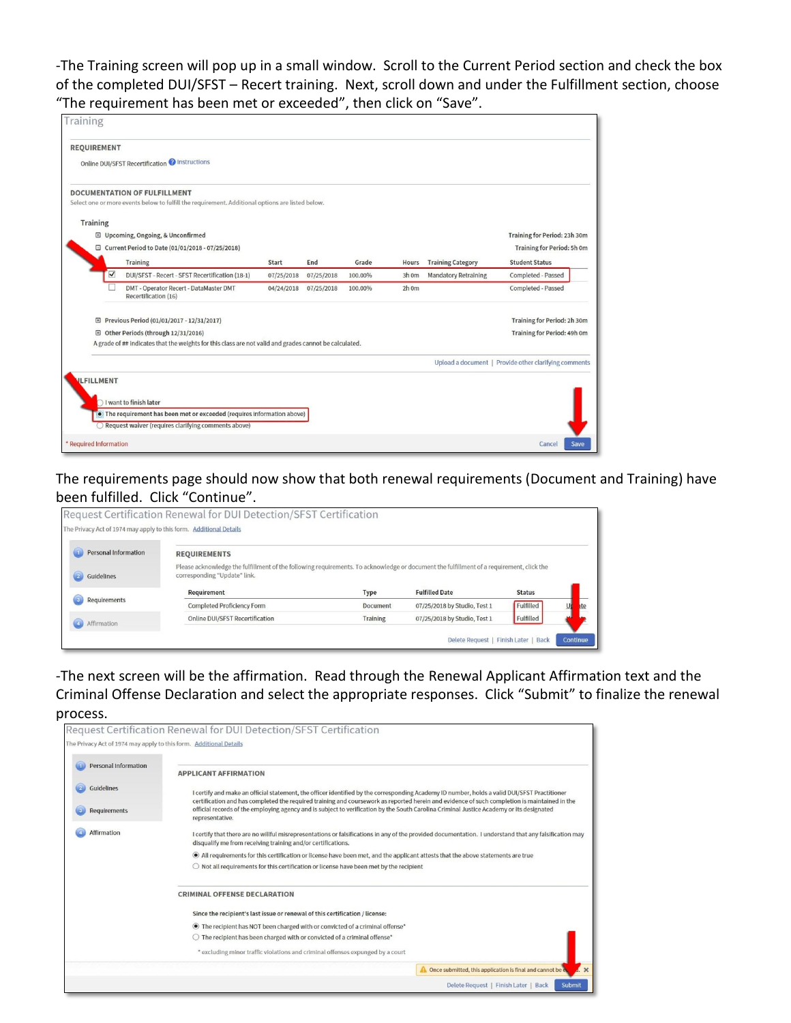-The Training screen will pop up in a small window. Scroll to the Current Period section and check the box of the completed DUI/SFST – Recert training. Next, scroll down and under the Fulfillment section, choose "The requirement has been met or exceeded", then click on "Save".

| Training                                                                                                                                |            |            |         |       |                             |                                                       |
|-----------------------------------------------------------------------------------------------------------------------------------------|------------|------------|---------|-------|-----------------------------|-------------------------------------------------------|
| <b>REQUIREMENT</b>                                                                                                                      |            |            |         |       |                             |                                                       |
| Online DUI/SFST Recertification @ Instructions                                                                                          |            |            |         |       |                             |                                                       |
| <b>DOCUMENTATION OF FULFILLMENT</b><br>Select one or more events below to fulfill the requirement. Additional options are listed below. |            |            |         |       |                             |                                                       |
| <b>Training</b>                                                                                                                         |            |            |         |       |                             |                                                       |
| □ Upcoming, Ongoing, & Unconfirmed                                                                                                      |            |            |         |       |                             | Training for Period: 23h 30m                          |
| □ Current Period to Date (01/01/2018 - 07/25/2018)                                                                                      |            |            |         |       |                             | <b>Training for Period: 5h 0m</b>                     |
| Training                                                                                                                                | Start      | End        | Grade   | Hours | <b>Training Category</b>    | <b>Student Status</b>                                 |
| DUI/SFST - Recert - SFST Recertification (18-1)                                                                                         | 07/25/2018 | 07/25/2018 | 100.00% | 3h 0m | <b>Mandatory Retraining</b> | Completed - Passed                                    |
| DMT - Operator Recert - DataMaster DMT<br>Recertification (16)                                                                          | 04/24/2018 | 07/25/2018 | 100.00% | 2h 0m |                             | Completed - Passed                                    |
| 田 Previous Period (01/01/2017 - 12/31/2017)                                                                                             |            |            |         |       |                             | <b>Training for Period: 2h 30m</b>                    |
| Other Periods (through 12/31/2016)<br>⊞                                                                                                 |            |            |         |       |                             | <b>Training for Period: 49h 0m</b>                    |
| A grade of ## indicates that the weights for this class are not valid and grades cannot be calculated.                                  |            |            |         |       |                             |                                                       |
|                                                                                                                                         |            |            |         |       |                             | Upload a document   Provide other clarifying comments |
| <b>ILFILLMENT</b>                                                                                                                       |            |            |         |       |                             |                                                       |
|                                                                                                                                         |            |            |         |       |                             |                                                       |
| $\bigcap$ I want to finish later<br>• The requirement has been met or exceeded (requires information above)                             |            |            |         |       |                             |                                                       |
| Request waiver (requires clarifying comments above)                                                                                     |            |            |         |       |                             |                                                       |
|                                                                                                                                         |            |            |         |       |                             |                                                       |
| * Required Information                                                                                                                  |            |            |         |       |                             | Save<br>Cancel                                        |

The requirements page should now show that both renewal requirements (Document and Training) have been fulfilled. Click "Continue".

| Personal Information | <b>REQUIREMENTS</b>                                                                                                                                                      |          |                              |               |     |
|----------------------|--------------------------------------------------------------------------------------------------------------------------------------------------------------------------|----------|------------------------------|---------------|-----|
| Guidelines           | Please acknowledge the fulfillment of the following requirements. To acknowledge or document the fulfillment of a requirement, click the<br>corresponding "Update" link. |          |                              |               |     |
|                      | Requirement                                                                                                                                                              | Type     | <b>Fulfilled Date</b>        | <b>Status</b> |     |
| Requirements         | Completed Proficiency Form                                                                                                                                               | Document | 07/25/2018 by Studio, Test 1 | Fulfilled     | ite |

-The next screen will be the affirmation. Read through the Renewal Applicant Affirmation text and the Criminal Offense Declaration and select the appropriate responses. Click "Submit" to finalize the renewal process.

| The Privacy Act of 1974 may apply to this form. Additional Details |                                                                                                                                                                                                                                                                                              |  |  |  |  |  |
|--------------------------------------------------------------------|----------------------------------------------------------------------------------------------------------------------------------------------------------------------------------------------------------------------------------------------------------------------------------------------|--|--|--|--|--|
| <b>Personal Information</b>                                        | <b>APPLICANT AFFIRMATION</b>                                                                                                                                                                                                                                                                 |  |  |  |  |  |
| Guidelines                                                         | I certify and make an official statement, the officer identified by the corresponding Academy ID number, holds a valid DUI/SFST Practitioner<br>certification and has completed the required training and coursework as reported herein and evidence of such completion is maintained in the |  |  |  |  |  |
| Requirements                                                       | official records of the employing agency and is subject to verification by the South Carolina Criminal Justice Academy or its designated<br>representative.                                                                                                                                  |  |  |  |  |  |
| Affirmation                                                        | I certify that there are no willful misrepresentations or falsifications in any of the provided documentation. I understand that any falsification may<br>disqualify me from receiving training and/or certifications.                                                                       |  |  |  |  |  |
|                                                                    | • All requirements for this certification or license have been met, and the applicant attests that the above statements are true                                                                                                                                                             |  |  |  |  |  |
|                                                                    | $\bigcirc$ Not all requirements for this certification or license have been met by the recipient                                                                                                                                                                                             |  |  |  |  |  |
|                                                                    | <b>CRIMINAL OFFENSE DECLARATION</b>                                                                                                                                                                                                                                                          |  |  |  |  |  |
|                                                                    | Since the recipient's last issue or renewal of this certification / license:                                                                                                                                                                                                                 |  |  |  |  |  |
|                                                                    | ◉ The recipient has NOT been charged with or convicted of a criminal offense*                                                                                                                                                                                                                |  |  |  |  |  |
|                                                                    | $\bigcirc$ The recipient has been charged with or convicted of a criminal offense*                                                                                                                                                                                                           |  |  |  |  |  |
|                                                                    | * excluding minor traffic violations and criminal offenses expunged by a court                                                                                                                                                                                                               |  |  |  |  |  |
|                                                                    | $\overline{4}$ $\times$<br>Once submitted, this application is final and cannot be ex-                                                                                                                                                                                                       |  |  |  |  |  |
|                                                                    | Delete Request   Finish Later   Back<br>Submit                                                                                                                                                                                                                                               |  |  |  |  |  |